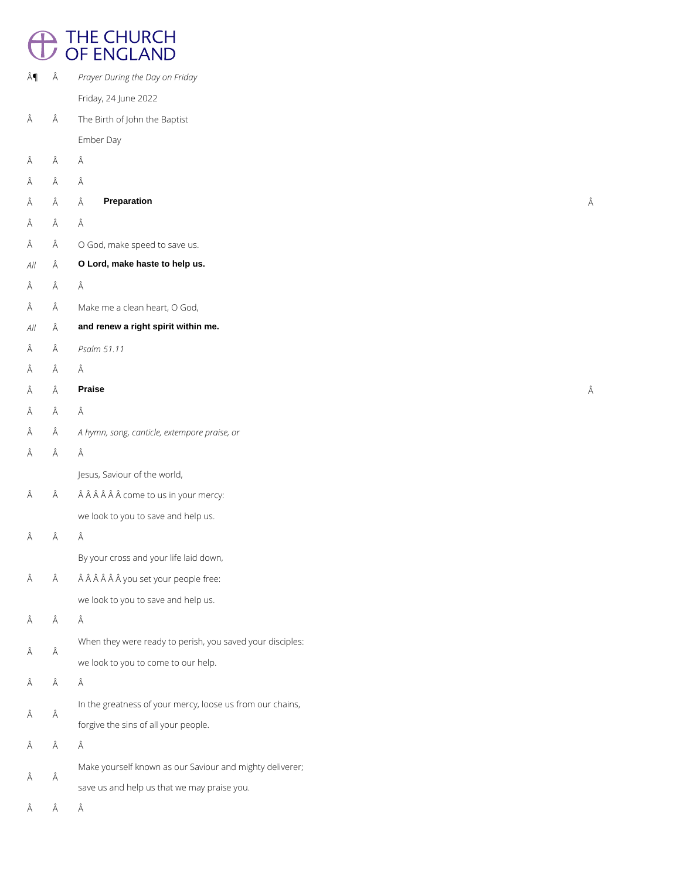## <sup>THE CHURCH</sup><br>
OF ENGLAND

| ¶                | Â | Prayer During the Day on Friday                           |   |
|------------------|---|-----------------------------------------------------------|---|
|                  |   | Friday, 24 June 2022                                      |   |
| Â                | Â | The Birth of John the Baptist                             |   |
|                  |   | Ember Day                                                 |   |
| Â                | Â | Â                                                         |   |
| Â                | Â | Â                                                         |   |
| Â                | Â | <b>Preparation</b><br>Â                                   | Â |
| Â                | Â | Â                                                         |   |
| Â                | Â | O God, make speed to save us.                             |   |
| $\mathcal{A}$ // | Â | O Lord, make haste to help us.                            |   |
| Â                | Â | Â                                                         |   |
| Â                | Â | Make me a clean heart, O God,                             |   |
| $\mathcal{A}$ // | Â | and renew a right spirit within me.                       |   |
| Â                | Â | Psalm 51.11                                               |   |
| Â                | Â | Â                                                         |   |
| Â                | Â | <b>Praise</b>                                             | Â |
| Â                | Â | Â                                                         |   |
| Â                | Â | A hymn, song, canticle, extempore praise, or              |   |
| Â                | Â | Â                                                         |   |
|                  |   | Jesus, Saviour of the world,                              |   |
| Â                | Â | come to us in your mercy:                                 |   |
|                  |   | we look to you to save and help us.                       |   |
| Â                | Â | Â                                                         |   |
|                  |   | By your cross and your life laid down,                    |   |
| Â                | Â | you set your people free:                                 |   |
|                  |   | we look to you to save and help us.                       |   |
| Â                | Â | Â                                                         |   |
|                  |   | When they were ready to perish, you saved your disciples: |   |

Â

 $\hat{\mathsf{A}}$   $\hat{\mathsf{A}}$ In the greatness of your mercy, loose us from our chains, forgive the sins of all your people.

 $\hat{A}$   $\hat{A}$ Make yourself known as our Saviour and mighty deliverer; save us and help us that we may praise you.

 $\hat{\mathsf{A}}\qquad \hat{\mathsf{A}}\qquad \hat{\mathsf{A}}$ 

 $\hat{\mathsf{A}}\qquad \hat{\mathsf{A}}\qquad \hat{\mathsf{A}}$ 

we look to you to come to our help.

 $\hat{\mathsf{A}}\qquad \hat{\mathsf{A}}\qquad \hat{\mathsf{A}}$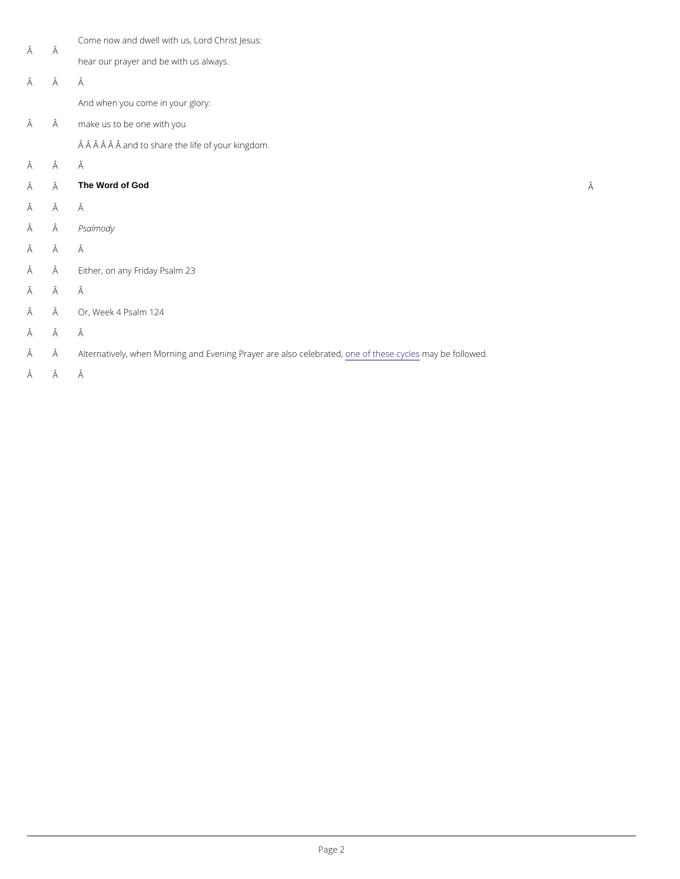| Â | Â | Come now and dwell with us, Lord Christ Jesus:                                                |   |
|---|---|-----------------------------------------------------------------------------------------------|---|
|   |   | hear our prayer and be with us always.                                                        |   |
| Â | Â | Â                                                                                             |   |
|   |   | And when you come in your glory:                                                              |   |
| Â | Â | make us to be one with you                                                                    |   |
|   |   | and to share the life of your kingdom.                                                        |   |
| Â | Â | Â                                                                                             |   |
| Â | Â | The Word of God                                                                               | Â |
| Â | Â | Â                                                                                             |   |
| Â | Â | Psalmody                                                                                      |   |
| Â | Â | Â                                                                                             |   |
| Â | Â | Either, on anyP Fraid na 223                                                                  |   |
| Â | Â | Â                                                                                             |   |
| Â | Â | Or, WeeRs4alm 124                                                                             |   |
| Â | Â | Â                                                                                             |   |
| Â | Â | Alternatively, when Morning and Evening Proanyee ro farteleasles on progelleben faotleid wed. |   |
| Â | Â | Â                                                                                             |   |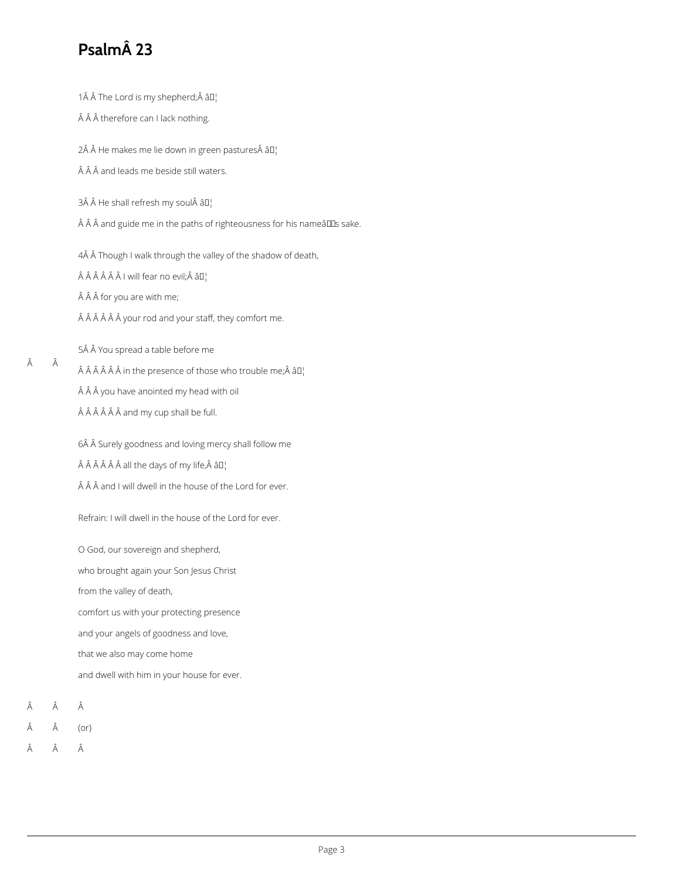## **Psalm 23**

1 $\hat{A}$   $\hat{A}$  The Lord is my shepherd; $\hat{A}$   $\hat{a}$  $I$ <sub>1</sub>

Â Â therefore can I lack nothing.

2 He makes me lie down in green pastures â $\square_1^1$ 

 $\hat{A}$   $\hat{A}$   $\hat{A}$  and leads me beside still waters.

 $3\hat{A}$  Å He shall refresh my soul $\hat{A}$  â $I$ 

 $\hat{A}$   $\hat{A}$   $\hat{A}$  and guide me in the paths of righteousness for his nameâlles sake.

4Â Â Though I walk through the valley of the shadow of death,

 $\hat{A}$   $\hat{A}$   $\hat{A}$   $\hat{A}$   $\hat{A}$  | will fear no evil; $\hat{A}$   $\hat{a}$  $\Box$ 

 $\hat{A}$   $\hat{A}$   $\hat{A}$  for you are with me;

 $\hat{A}$   $\hat{A}$   $\hat{A}$   $\hat{A}$   $\hat{A}$   $\hat{B}$  your rod and your staff, they comfort me.

5Â Â You spread a table before me

 $\hat{A}$   $\hat{A}$   $\hat{A}$   $\hat{A}$   $\hat{A}$  in the presence of those who trouble me; $\hat{A}$   $\hat{a}$  $\Box$ 

Â Â you have anointed my head with oil

 $\hat{A}$   $\hat{A}$   $\hat{A}$   $\hat{A}$   $\hat{A}$  and my cup shall be full.

6Â Â Surely goodness and loving mercy shall follow me

 $\hat{A}$   $\hat{A}$   $\hat{A}$   $\hat{A}$   $\hat{A}$  all the days of my life, $\hat{A}$   $\hat{a}$  $D_1$ 

Â Â and I will dwell in the house of the Lord for ever.

Refrain: I will dwell in the house of the Lord for ever.

O God, our sovereign and shepherd,

who brought again your Son Jesus Christ

from the valley of death,

comfort us with your protecting presence

and your angels of goodness and love,

that we also may come home

and dwell with him in your house for ever.

Â Â

Â

 $\hat{A}$   $\hat{A}$  (or)

Â Â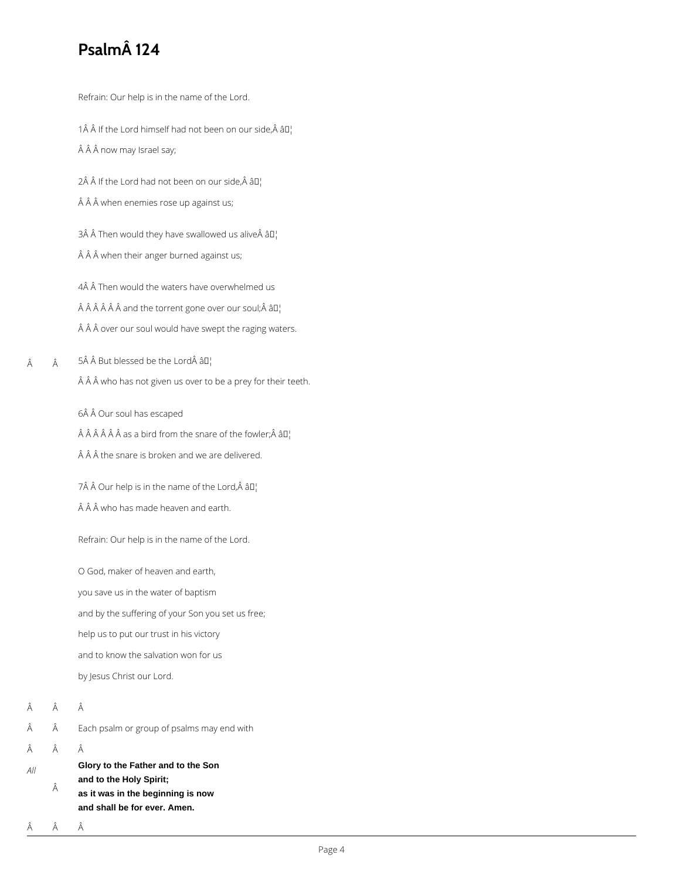## **Psalm 124**

Refrain: Our help is in the name of the Lord.

1 $\hat{A}$   $\hat{A}$  If the Lord himself had not been on our side,  $\hat{A}$   $\hat{a}$  $\Gamma$ 

Â Â now may Israel say;

2Â Â If the Lord had not been on our side, Â â $\mathbb{I}^1$ 

 $\hat{A}$   $\hat{A}$   $\hat{A}$  when enemies rose up against us;

3 Then would they have swallowed us alive  $\partial I_1$ Â Â when their anger burned against us;

4Â Â Then would the waters have overwhelmed us  $\hat{A}$   $\hat{A}$   $\hat{A}$   $\hat{A}$   $\hat{A}$  and the torrent gone over our soul;  $\hat{A}$   $\hat{a}$  $\Gamma$ <sub>1</sub> Â Â over our soul would have swept the raging waters.

 Â  $5\hat{A}$   $\hat{A}$  But blessed be the Lord $\hat{A}$   $\hat{a}$ D<sub>1</sub> Â Â who has not given us over to be a prey for their teeth.

6Â Â Our soul has escaped

 $\hat{A}$   $\hat{A}$   $\hat{A}$   $\hat{A}$   $\hat{A}$  as a bird from the snare of the fowler; $\hat{A}$   $\hat{a}$  $I$ <sub>1</sub>

 $\hat{A}$   $\hat{A}$   $\hat{A}$  the snare is broken and we are delivered.

 $7\hat{A}$   $\hat{A}$  Our help is in the name of the Lord, $\hat{A}$   $\hat{a}$ D<sub>1</sub>

 $\hat{A}$   $\hat{A}$   $\hat{A}$  who has made heaven and earth.

Refrain: Our help is in the name of the Lord.

O God, maker of heaven and earth,

you save us in the water of baptism

and by the suffering of your Son you set us free;

help us to put our trust in his victory

and to know the salvation won for us

by Jesus Christ our Lord.

Â Â

- $\hat{A}$   $\hat{A}$  Each psalm or group of psalms may end with
- $\hat{A}$   $\hat{A}$   $\hat{A}$

*All*

- **Glory to the Father and to the Son**
- **and to the Holy Spirit;**
- Â **as it was in the beginning is now and shall be for ever. Amen.**

Â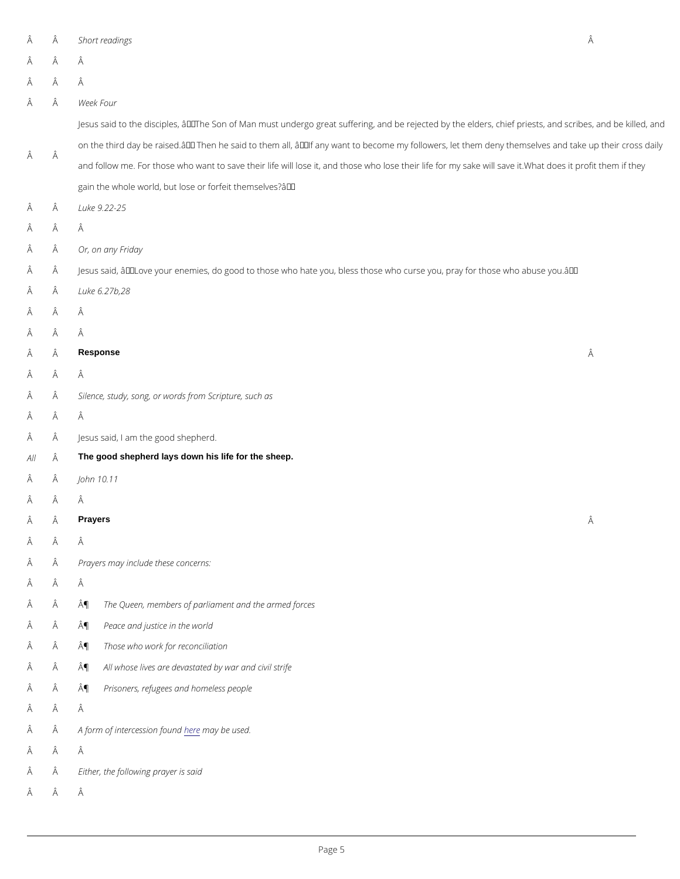- $\hat{A}$   $\hat{A}$  Short readings  $\hat{A}$  Â Â Â Â Week Four Â Jesus said to the disciples,  $\hat{a} \in \tilde{a}$  The Son of Man must undergo great suffering, and be rejected by on the third day be raised.  $\hat{a} \in \mathbb{M}$  Then he said to them all,  $\hat{a} \in \mathbb{M}$  any want to become my followers and follow me. For those who want to save their life will lose it, and those who lose their life fo gain the whole world, but lose or forfeit themselves? $a \in \mathbb{N}$  Luke 9.22-25 Â Â Â Or, on any Friday  $\rm \hat{A}$   $\rm \hat{A}$  Jesus said,  $\rm \hat{a} \, \bm{\epsilon}^{\texttt{z}}$  Love your enemies, do good to those who hate you, bless those who curse you, p  $\hat{A}$   $\hat{A}$  Luke 6.27b, 28 Â Â Â Â Â Response Â Â Â  $\hat{A}$   $\hat{A}$  Silence, study, song, or words from Scripture, such as Â Â  $\hat{A}$   $\hat{A}$  Jesus said, I am the good shepherd.  $A \parallel \hat{A}$  The good shepherd lays down his life for the sheep.  $\hat{A}$   $\hat{A}$  John 10.11 Â Â  $\hat{A}$  Prayers  $\hat{A}$  Â Â  $\hat{A}$   $\hat{A}$  Prayers may include these concerns: Â Â ¶ The Queen, members of parliament and the armed forces
- $\hat{A}$   $\hat{A}$   $\hat{A}$  Peace and justice in the world
- $\hat{A}$   $\hat{A}$  **Those who work for reconciliation**
- $\hat{A}$   $\hat{A}$   $\hat{A}$   $\hat{B}$   $\hat{A}$  all whose lives are devastated by war and civil strife
- ¶ Prisoners, refugees and homeless people
- Â Â
- $\hat{A}$   $\hat{A}$   $A$  form of interce singuitarily be dused.
- Â Â
- $\hat{A}$   $\hat{A}$  Either, the following prayer is said
- Â Â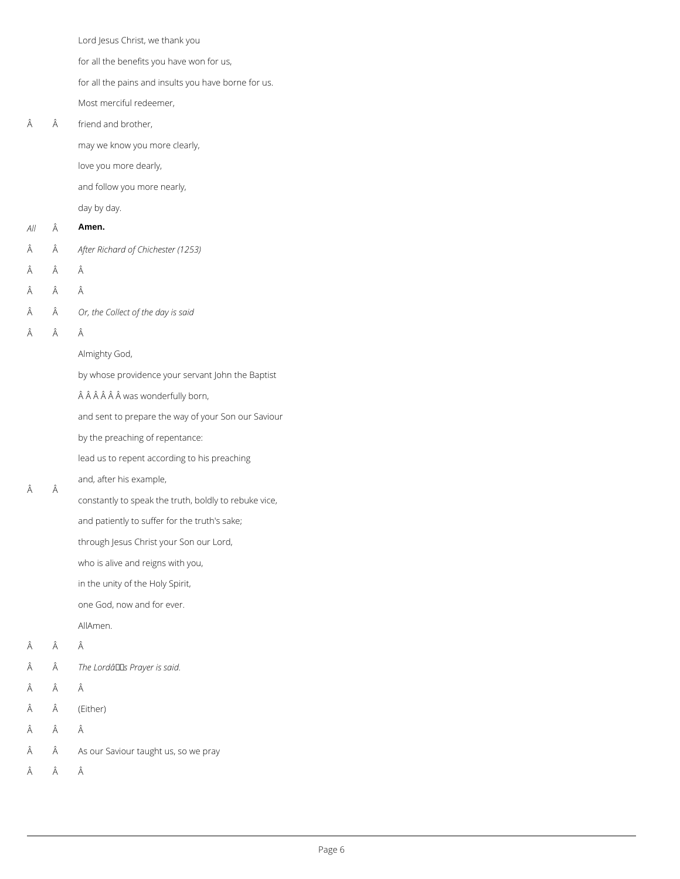Lord Jesus Christ, we thank you

for all the benefits you have won for us,

 Â friend and brother,

for all the pains and insults you have borne for us.

- *All* **Amen.**
- *After Richard of Chichester (1253)*
- $\hat{A}$   $\hat{A}$   $\hat{A}$
- Â Â
- *Or, the Collect of the day is said*
- Â Â

Most merciful redeemer,

may we know you more clearly,

love you more dearly,

and follow you more nearly,

day by day.

Almighty God,

by whose providence your servant John the Baptist

Â Â Â Â was wonderfully born,

and sent to prepare the way of your Son our Saviour

by the preaching of repentance:

lead us to repent according to his preaching

## and, after his example,

Â

constantly to speak the truth, boldly to rebuke vice,

and patiently to suffer for the truth's sake;

through Jesus Christ your Son our Lord,

who is alive and reigns with you,

in the unity of the Holy Spirit,

one God, now and for ever.

AllAmen.

Â Â

- $\hat{A}$  The Lordâllas Prayer is said.
- $\hat{A}$   $\hat{A}$   $\hat{A}$
- $\hat{A}$  (Either)
- $\hat{A}$   $\hat{A}$   $\hat{A}$
- As our Saviour taught us, so we pray
- $\hat{A}$   $\hat{A}$   $\hat{A}$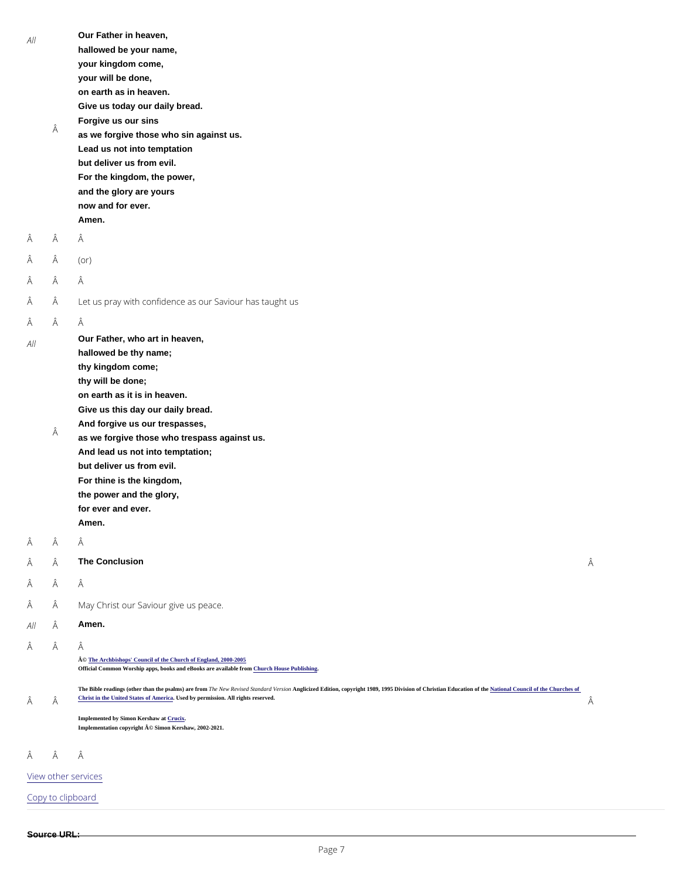| Â     | Our Father in heaven,<br>hallowed be your name,<br>your kingdom come,<br>your will be done,<br>on earth as in heaven.<br>Give us today our daily bread.<br>Forgive us our sins<br>as we forgive those who sin against us.<br>Lead us not into temptation                                                                                                                                                          |                           |
|-------|-------------------------------------------------------------------------------------------------------------------------------------------------------------------------------------------------------------------------------------------------------------------------------------------------------------------------------------------------------------------------------------------------------------------|---------------------------|
|       | For the kingdom, the power,<br>and the glory are yours<br>now and for ever.<br>Amen.                                                                                                                                                                                                                                                                                                                              |                           |
| Â     | Â                                                                                                                                                                                                                                                                                                                                                                                                                 |                           |
| Â     | $($ or $)$                                                                                                                                                                                                                                                                                                                                                                                                        |                           |
| Â     | Â                                                                                                                                                                                                                                                                                                                                                                                                                 |                           |
| Â     | Let us pray with confidence as our Saviour has taught us                                                                                                                                                                                                                                                                                                                                                          |                           |
| Â     | Â                                                                                                                                                                                                                                                                                                                                                                                                                 |                           |
| Â     | Our Father, who art in heaven,<br>hallowed be thy name;<br>thy kingdom come;<br>thy will be done;<br>on earth as it is in heaven.<br>Give us this day our daily bread.<br>And forgive us our trespasses,<br>as we forgive those who trespass against us.<br>And lead us not into temptation;<br>but deliver us from evil.<br>For thine is the kingdom,<br>the power and the glory,<br>for ever and ever.<br>Amen. |                           |
| Â     | Â                                                                                                                                                                                                                                                                                                                                                                                                                 |                           |
| Â     | The Conclusion                                                                                                                                                                                                                                                                                                                                                                                                    | Â                         |
| Â     | Â                                                                                                                                                                                                                                                                                                                                                                                                                 |                           |
| Â     | May Christ our Saviour give us peace.                                                                                                                                                                                                                                                                                                                                                                             |                           |
| All Â | Amen.                                                                                                                                                                                                                                                                                                                                                                                                             |                           |
|       |                                                                                                                                                                                                                                                                                                                                                                                                                   | but deliver us from evil. |

Â Â

Â

© [The Archbishops' Council of the Church of England, 2000-200](https://www.churchofengland.org/prayer-worship/join-us-in-daily-prayer/copyright.aspx)5

Official Common Worship apps, books and eBooks are available from Church House Publishing

The Bible readings (other than the psalms) are from The New Revised Standard Version Christion, copyright 1989, 1995 Division of Christian Education of th[e National Council of the Churches of](https://nrsvbibles.org/) [Christ in the United States of America](https://nrsvbibles.org/) Used by permission. All rights reserved.

Â

Implemented by Simon Kershaw a[t Crucix](http://www.crucix.com/). Implementation copyright © Simon Kershaw, 2002-2021.

Â Â

[View other s](/prayer-and-worship/join-us-service-daily-prayer)ervices

Copy to clipboard